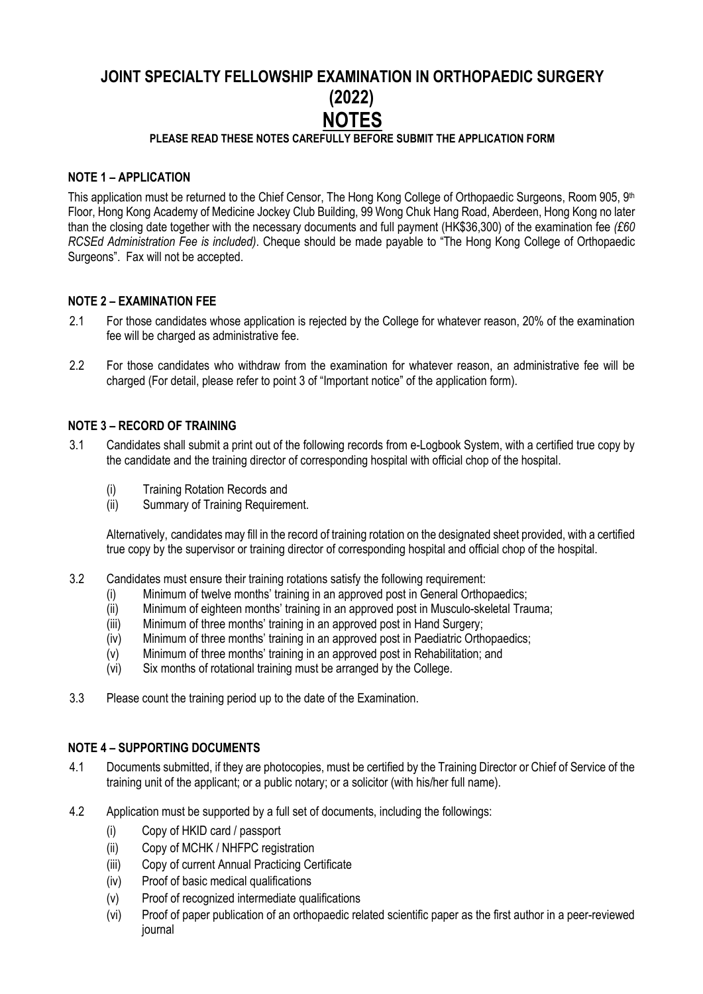# **JOINT SPECIALTY FELLOWSHIP EXAMINATION IN ORTHOPAEDIC SURGERY (2022) NOTES**

# **PLEASE READ THESE NOTES CAREFULLY BEFORE SUBMIT THE APPLICATION FORM**

## **NOTE 1 – APPLICATION**

This application must be returned to the Chief Censor, The Hong Kong College of Orthopaedic Surgeons, Room 905, 9th Floor, Hong Kong Academy of Medicine Jockey Club Building, 99 Wong Chuk Hang Road, Aberdeen, Hong Kong no later than the closing date together with the necessary documents and full payment (HK\$36,300) of the examination fee *(£60 RCSEd Administration Fee is included)*. Cheque should be made payable to "The Hong Kong College of Orthopaedic Surgeons". Fax will not be accepted.

#### **NOTE 2 – EXAMINATION FEE**

- 2.1 For those candidates whose application is rejected by the College for whatever reason, 20% of the examination fee will be charged as administrative fee.
- 2.2 For those candidates who withdraw from the examination for whatever reason, an administrative fee will be charged (For detail, please refer to point 3 of "Important notice" of the application form).

#### **NOTE 3 – RECORD OF TRAINING**

- 3.1 Candidates shall submit a print out of the following records from e-Logbook System, with a certified true copy by the candidate and the training director of corresponding hospital with official chop of the hospital.
	- (i) Training Rotation Records and
	- (ii) Summary of Training Requirement.

Alternatively, candidates may fill in the record of training rotation on the designated sheet provided, with a certified true copy by the supervisor or training director of corresponding hospital and official chop of the hospital.

- 3.2 Candidates must ensure their training rotations satisfy the following requirement:
	- (i) Minimum of twelve months' training in an approved post in General Orthopaedics;
	- (ii) Minimum of eighteen months' training in an approved post in Musculo-skeletal Trauma;
	- (iii) Minimum of three months' training in an approved post in Hand Surgery;
	- (iv) Minimum of three months' training in an approved post in Paediatric Orthopaedics;
	- (v) Minimum of three months' training in an approved post in Rehabilitation; and  $(vi)$  Six months of rotational training must be arranged by the College.
	- Six months of rotational training must be arranged by the College.
- 3.3 Please count the training period up to the date of the Examination.

#### **NOTE 4 – SUPPORTING DOCUMENTS**

- 4.1 Documents submitted, if they are photocopies, must be certified by the Training Director or Chief of Service of the training unit of the applicant; or a public notary; or a solicitor (with his/her full name).
- 4.2 Application must be supported by a full set of documents, including the followings:
	- (i) Copy of HKID card / passport
	- (ii) Copy of MCHK / NHFPC registration
	- (iii) Copy of current Annual Practicing Certificate
	- (iv) Proof of basic medical qualifications
	- (v) Proof of recognized intermediate qualifications
	- (vi) Proof of paper publication of an orthopaedic related scientific paper as the first author in a peer-reviewed journal